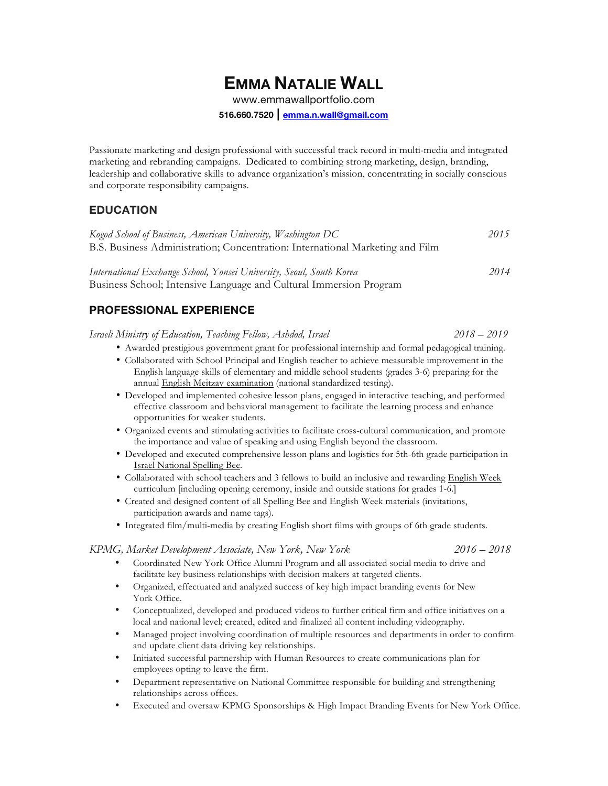# **EMMA NATALIE WALL**

www.emmawallportfolio.com

**516.660.7520 | emma.n.wall@gmail.com**

Passionate marketing and design professional with successful track record in multi-media and integrated marketing and rebranding campaigns. Dedicated to combining strong marketing, design, branding, leadership and collaborative skills to advance organization's mission, concentrating in socially conscious and corporate responsibility campaigns.

#### **EDUCATION**

| Kogod School of Business, American University, Washington DC                  | 2015 |
|-------------------------------------------------------------------------------|------|
| B.S. Business Administration; Concentration: International Marketing and Film |      |
|                                                                               |      |

*International Exchange School, Yonsei University, Seoul, South Korea 2014*  Business School; Intensive Language and Cultural Immersion Program

### **PROFESSIONAL EXPERIENCE**

*Israeli Ministry of Education, Teaching Fellow, Ashdod, Israel 2018 – 2019*

• Awarded prestigious government grant for professional internship and formal pedagogical training.

- Collaborated with School Principal and English teacher to achieve measurable improvement in the English language skills of elementary and middle school students (grades 3-6) preparing for the annual English Meitzav examination (national standardized testing).
- Developed and implemented cohesive lesson plans, engaged in interactive teaching, and performed effective classroom and behavioral management to facilitate the learning process and enhance opportunities for weaker students.
- Organized events and stimulating activities to facilitate cross-cultural communication, and promote the importance and value of speaking and using English beyond the classroom.
- Developed and executed comprehensive lesson plans and logistics for 5th-6th grade participation in Israel National Spelling Bee.
- Collaborated with school teachers and 3 fellows to build an inclusive and rewarding English Week curriculum [including opening ceremony, inside and outside stations for grades 1-6.]
- Created and designed content of all Spelling Bee and English Week materials (invitations, participation awards and name tags).
- Integrated film/multi-media by creating English short films with groups of 6th grade students.

#### *KPMG, Market Development Associate, New York, New York 2016 – 2018*

- Coordinated New York Office Alumni Program and all associated social media to drive and facilitate key business relationships with decision makers at targeted clients.
- Organized, effectuated and analyzed success of key high impact branding events for New York Office.
- Conceptualized, developed and produced videos to further critical firm and office initiatives on a local and national level; created, edited and finalized all content including videography.
- Managed project involving coordination of multiple resources and departments in order to confirm and update client data driving key relationships.
- Initiated successful partnership with Human Resources to create communications plan for employees opting to leave the firm.
- Department representative on National Committee responsible for building and strengthening relationships across offices.
- Executed and oversaw KPMG Sponsorships & High Impact Branding Events for New York Office.